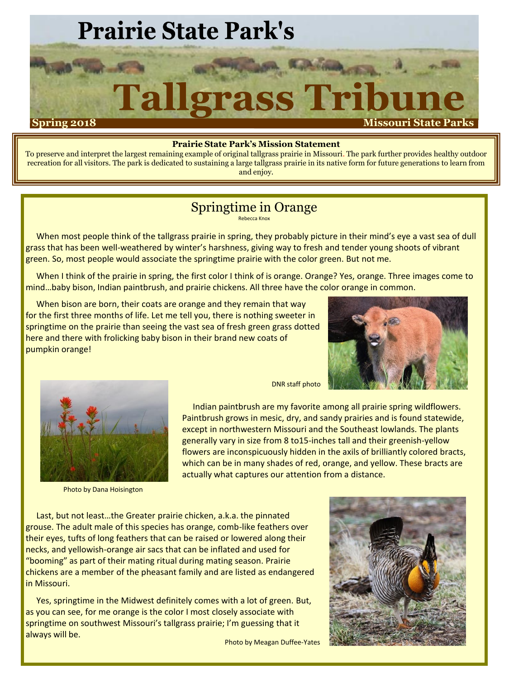## **Prairie State Park's**

## **Tallgrass Tribun Spring 2018 Missouri State Parks**

#### **Prairie State Park's Mission Statement**

To preserve and interpret the largest remaining example of original tallgrass prairie in Missouri. The park further provides healthy outdoor recreation for all visitors. The park is dedicated to sustaining a large tallgrass prairie in its native form for future generations to learn from and enjoy.

#### Springtime in Orange

Rebecca Knox

When most people think of the tallgrass prairie in spring, they probably picture in their mind's eye a vast sea of dull grass that has been well-weathered by winter's harshness, giving way to fresh and tender young shoots of vibrant green. So, most people would associate the springtime prairie with the color green. But not me.

When I think of the prairie in spring, the first color I think of is orange. Orange? Yes, orange. Three images come to mind…baby bison, Indian paintbrush, and prairie chickens. All three have the color orange in common.

When bison are born, their coats are orange and they remain that way for the first three months of life. Let me tell you, there is nothing sweeter in springtime on the prairie than seeing the vast sea of fresh green grass dotted here and there with frolicking baby bison in their brand new coats of pumpkin orange!





Photo by Dana Hoisington

DNR staff photo

Indian paintbrush are my favorite among all prairie spring wildflowers. Paintbrush grows in mesic, dry, and sandy prairies and is found statewide, except in northwestern Missouri and the Southeast lowlands. The plants generally vary in size from 8 to15-inches tall and their greenish-yellow flowers are inconspicuously hidden in the axils of brilliantly colored bracts, which can be in many shades of red, orange, and yellow. These bracts are actually what captures our attention from a distance.

Last, but not least…the Greater prairie chicken, a.k.a. the pinnated grouse. The adult male of this species has orange, comb-like feathers over their eyes, tufts of long feathers that can be raised or lowered along their necks, and yellowish-orange air sacs that can be inflated and used for "booming" as part of their mating ritual during mating season. Prairie chickens are a member of the pheasant family and are listed as endangered in Missouri.

Yes, springtime in the Midwest definitely comes with a lot of green. But, as you can see, for me orange is the color I most closely associate with springtime on southwest Missouri's tallgrass prairie; I'm guessing that it always will be.

Photo by Meagan Duffee-Yates

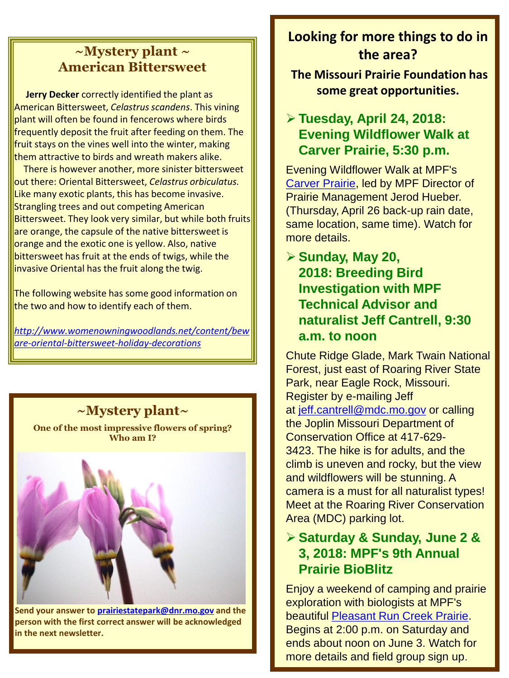#### **~Mystery plant ~ American Bittersweet**

**Jerry Decker** correctly identified the plant as American Bittersweet, *Celastrus scandens*. This vining plant will often be found in fencerows where birds frequently deposit the fruit after feeding on them. The fruit stays on the vines well into the winter, making them attractive to birds and wreath makers alike.

There is however another, more sinister bittersweet out there: Oriental Bittersweet, *Celastrus orbiculatus.*  Like many exotic plants, this has become invasive. Strangling trees and out competing American Bittersweet. They look very similar, but while both fruits are orange, the capsule of the native bittersweet is orange and the exotic one is yellow. Also, native bittersweet has fruit at the ends of twigs, while the invasive Oriental has the fruit along the twig.

The following website has some good information on the two and how to identify each of them.

*[http://www.womenowningwoodlands.net/content/bew](http://www.womenowningwoodlands.net/content/beware-oriental-bittersweet-holiday-decorations) are-oriental-bittersweet-holiday-decorations*

#### **~Mystery plant~**

**One of the most impressive flowers of spring? Who am I?**



**Send your answer to [prairiestatepark@dnr.mo.gov](mailto:prairiestatepark@dnr.mo.gov) and the person with the first correct answer will be acknowledged in the next newsletter.** 

### **Looking for more things to do in the area?**

**The Missouri Prairie Foundation has some great opportunities.**

#### **Tuesday, April 24, 2018: Evening Wildflower Walk at Carver Prairie, 5:30 p.m.**

Evening Wildflower Walk at MPF's [Carver Prairie](http://r20.rs6.net/tn.jsp?f=001sJ_YgjGsJ0xR1cOlv4iBXcb6C6qFta4VHsckILSVALlWKY_MrNpdIvyYJE14zfTUJHCCqki6P23nTSFLEUyoiv2Z219kCZ0tc1vrUw-ycKqREBIvwKu7jHccrbNk-h763hJogvhf9wnnC6HAF-KzDnHAC4ms2NEhOysksK3nhLJhAtfxLDOFKO3JW_z7PErtINm3wMtOd2AIhE_vPpauTuChLS0FhnYvh5IqViTbFrZg25qPmX2b0m6JVGtY1CX2&c=POFPq7MX9SGEOn5cES0wXOsWhoUeUPX_EPXDgz72yADaFy5BSiNptw==&ch=9bzedABxbj0WjmAbTlTTAuNr3_yrh3yZvHeGx7ATP3EJelQQCvhWlg==), led by MPF Director of Prairie Management Jerod Hueber. (Thursday, April 26 back-up rain date, same location, same time). Watch for more details.

#### **Sunday, May 20, 2018: Breeding Bird Investigation with MPF Technical Advisor and naturalist Jeff Cantrell, 9:30 a.m. to noon**

Chute Ridge Glade, Mark Twain National Forest, just east of Roaring River State Park, near Eagle Rock, Missouri. Register by e-mailing Jeff at [jeff.cantrell@mdc.mo.gov](mailto:jeff.cantrell@mdc.mo.gov) or calling the Joplin Missouri Department of Conservation Office at 417-629- 3423. The hike is for adults, and the climb is uneven and rocky, but the view and wildflowers will be stunning. A camera is a must for all naturalist types! Meet at the Roaring River Conservation Area (MDC) parking lot.

#### **Saturday & Sunday, June 2 & 3, 2018: MPF's 9th Annual Prairie BioBlitz**

Enjoy a weekend of camping and prairie exploration with biologists at MPF's beautiful [Pleasant Run Creek Prairie.](http://r20.rs6.net/tn.jsp?f=001sJ_YgjGsJ0xR1cOlv4iBXcb6C6qFta4VHsckILSVALlWKY_MrNpdIvyYJE14zfTU11zRFWMOCnbyOTDuCmgBVhv6g-NV0Cwz59wgsOSWzE7AqGUo6Ek6xwBT1Eny8kRd1cPgciA4uTH-k0BuyAMch4A-L2ekk5eVHqijheBTgAQ97qL1bEiBfPNpW-VP2LS-9WQ-rj8W1o90O4JCd6LQj4gUCU0Ci2z4VaVvnuLQpYpRpPZnbCOHstRssl5I0v3eIeZUwcT-m2U=&c=POFPq7MX9SGEOn5cES0wXOsWhoUeUPX_EPXDgz72yADaFy5BSiNptw==&ch=9bzedABxbj0WjmAbTlTTAuNr3_yrh3yZvHeGx7ATP3EJelQQCvhWlg==) Begins at 2:00 p.m. on Saturday and ends about noon on June 3. Watch for more details and field group sign up.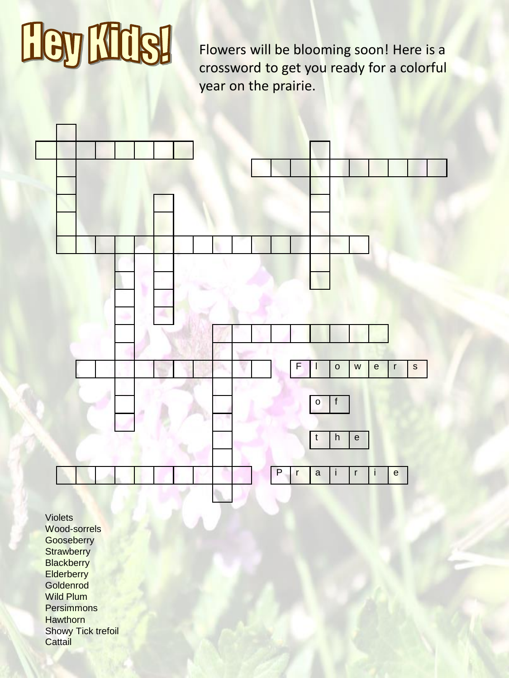# HeyMdsl

Flowers will be blooming soon! Here is a crossword to get you ready for a colorful year on the prairie.



Violets Wood-sorrels **Gooseberry Strawberry Blackberry Elderberry** Goldenrod Wild Plum **Persimmons Hawthorn Showy Tick trefoil Cattail**